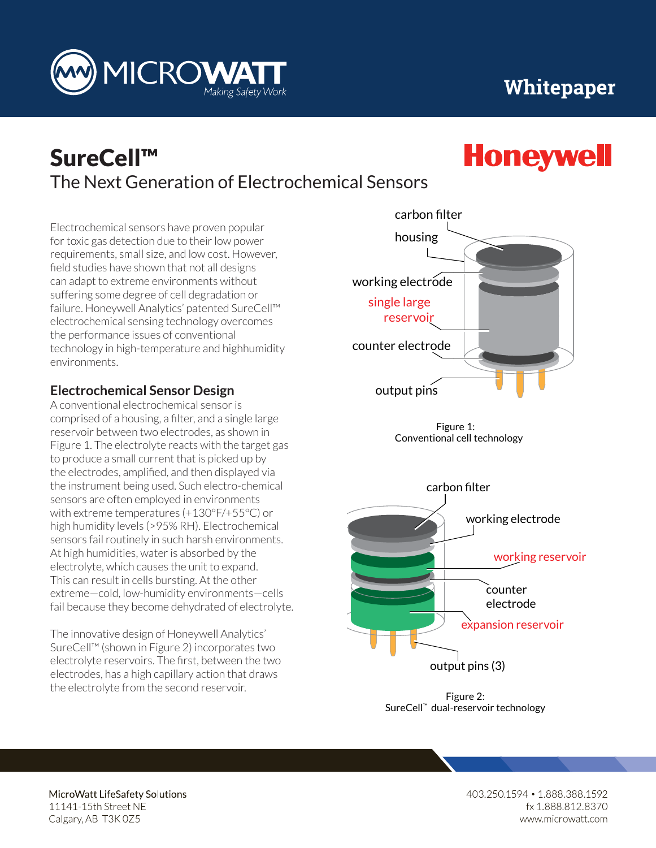

## The Next Generation of Electrochemical Sensors SureCell™

Electrochemical sensors have proven popular for toxic gas detection due to their low power requirements, small size, and low cost. However, field studies have shown that not all designs can adapt to extreme environments without suffering some degree of cell degradation or failure. Honeywell Analytics' patented SureCell™ electrochemical sensing technology overcomes the performance issues of conventional technology in high-temperature and highhumidity environments.

**MICROWA** 

## **Electrochemical Sensor Design**

A conventional electrochemical sensor is comprised of a housing, a filter, and a single large reservoir between two electrodes, as shown in Figure 1. The electrolyte reacts with the target gas to produce a small current that is picked up by the electrodes, amplified, and then displayed via the instrument being used. Such electro-chemical sensors are often employed in environments with extreme temperatures (+130°F/+55°C) or high humidity levels (>95% RH). Electrochemical sensors fail routinely in such harsh environments. At high humidities, water is absorbed by the electrolyte, which causes the unit to expand. This can result in cells bursting. At the other extreme—cold, low-humidity environments—cells fail because they become dehydrated of electrolyte.

The innovative design of Honeywell Analytics' SureCell™ (shown in Figure 2) incorporates two electrolyte reservoirs. The first, between the two electrodes, has a high capillary action that draws the electrolyte from the second reservoir.



Figure 1: Conventional cell technology



Figure 2: SureCell™ dual-reservoir technology

MicroWatt LifeSafety Solutions

11141-15th Street NE Calgary, AB T3K 0Z5

rz.oo/o<br>... vatt.com 403.250.1594 • 1.888.388.1592

working